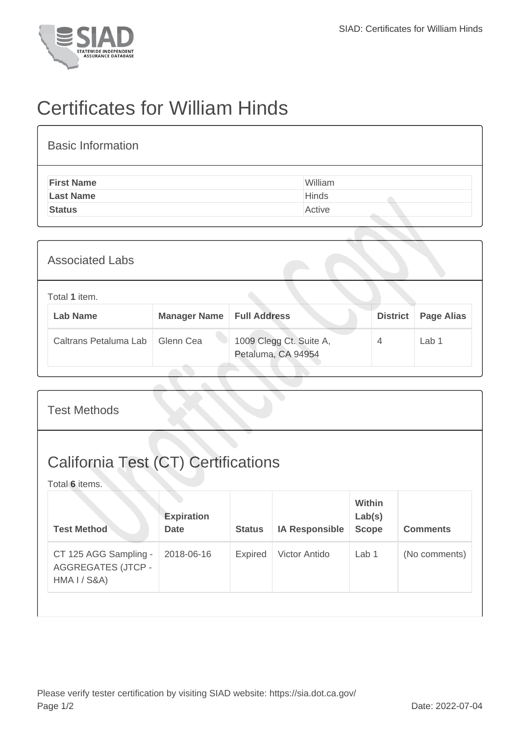

## Certificates for William Hinds

| <b>Basic Information</b> |              |
|--------------------------|--------------|
| <b>First Name</b>        | William      |
| <b>Last Name</b>         | <b>Hinds</b> |
| <b>Status</b>            | Active       |
|                          |              |

| <b>Associated Labs</b>                                                 |                       |           |                                               |   |       |  |
|------------------------------------------------------------------------|-----------------------|-----------|-----------------------------------------------|---|-------|--|
| Total 1 item.<br><b>Lab Name</b><br><b>Manager Name   Full Address</b> |                       |           | <b>District</b><br><b>Page Alias</b>          |   |       |  |
|                                                                        | Caltrans Petaluma Lab | Glenn Cea | 1009 Clegg Ct. Suite A,<br>Petaluma, CA 94954 | 4 | Lab 1 |  |

| <b>Test Methods</b>                                                           |                                  |                |                       |                                         |                 |  |
|-------------------------------------------------------------------------------|----------------------------------|----------------|-----------------------|-----------------------------------------|-----------------|--|
| <b>California Test (CT) Certifications</b><br>Total 6 items.                  |                                  |                |                       |                                         |                 |  |
| <b>Test Method</b>                                                            | <b>Expiration</b><br><b>Date</b> | <b>Status</b>  | <b>IA Responsible</b> | <b>Within</b><br>Lab(s)<br><b>Scope</b> | <b>Comments</b> |  |
| CT 125 AGG Sampling -<br><b>AGGREGATES (JTCP -</b><br><b>HMA I / S&amp;A)</b> | 2018-06-16                       | <b>Expired</b> | Victor Antido         | Lab 1                                   | (No comments)   |  |
|                                                                               |                                  |                |                       |                                         |                 |  |